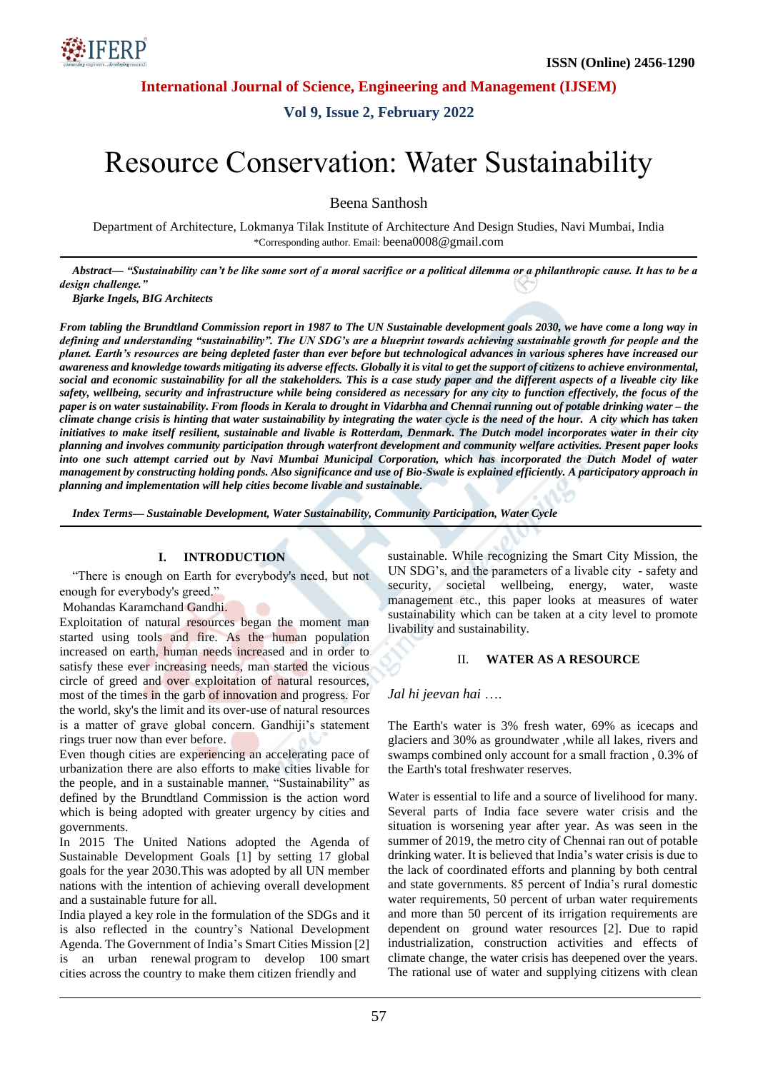**International Journal of Science, Engineering and Management (IJSEM)**

**Vol 9, Issue 2, February 2022**

# Resource Conservation: Water Sustainability

Beena Santhosh

Department of Architecture, Lokmanya Tilak Institute of Architecture And Design Studies, Navi Mumbai, India \*Corresponding author. Email: beena0008@gmail.com

*Abstract— ―Sustainability can't be like some sort of a moral sacrifice or a political dilemma or a philanthropic cause. It has to be a design challenge.‖*

*Bjarke Ingels, BIG Architects*

*From tabling the Brundtland Commission report in 1987 to The UN Sustainable development goals 2030, we have come a long way in defining and understanding ―sustainability‖. The UN SDG's are a blueprint towards achieving sustainable growth for people and the planet. Earth's resources are being depleted faster than ever before but technological advances in various spheres have increased our awareness and knowledge towards mitigating its adverse effects. Globally it is vital to get the support of citizens to achieve environmental, social and economic sustainability for all the stakeholders. This is a case study paper and the different aspects of a liveable city like safety, wellbeing, security and infrastructure while being considered as necessary for any city to function effectively, the focus of the paper is on water sustainability. From floods in Kerala to drought in Vidarbha and Chennai running out of potable drinking water – the climate change crisis is hinting that water sustainability by integrating the water cycle is the need of the hour. A city which has taken initiatives to make itself resilient, sustainable and livable is Rotterdam, Denmark. The Dutch model incorporates water in their city planning and involves community participation through waterfront development and community welfare activities. Present paper looks into one such attempt carried out by Navi Mumbai Municipal Corporation, which has incorporated the Dutch Model of water management by constructing holding ponds. Also significance and use of Bio-Swale is explained efficiently. A participatory approach in planning and implementation will help cities become livable and sustainable.*

*Index Terms— Sustainable Development, Water Sustainability, Community Participation, Water Cycle*

## **I. INTRODUCTION**

"There is enough on Earth for everybody's need, but not enough for everybody's greed."

Mohandas Karamchand Gandhi.

Exploitation of natural resources began the moment man started using tools and fire. As the human population increased on earth, human needs increased and in order to satisfy these ever increasing needs, man started the vicious circle of greed and over exploitation of natural resources, most of the times in the garb of innovation and progress. For the world, sky's the limit and its over-use of natural resources is a matter of grave global concern. Gandhiji's statement rings truer now than ever before.

Even though cities are experiencing an accelerating pace of urbanization there are also efforts to make cities livable for the people, and in a sustainable manner. "Sustainability" as defined by the Brundtland Commission is the action word which is being adopted with greater urgency by cities and governments.

In 2015 The United Nations adopted the Agenda of Sustainable Development Goals [1] by setting 17 global goals for the year 2030.This was adopted by all UN member nations with the intention of achieving overall development and a sustainable future for all.

India played a key role in the formulation of the SDGs and it is also reflected in the country's National Development Agenda. The Government of India's Smart Cities Mission [2] is an urban renewal program to develop 100 [smart](https://en.wikipedia.org/wiki/Smart_city)  [cities](https://en.wikipedia.org/wiki/Smart_city) across the country to make them citizen friendly and

sustainable. While recognizing the Smart City Mission, the UN SDG's, and the parameters of a livable city - safety and security, societal wellbeing, energy, water, waste management etc., this paper looks at measures of water sustainability which can be taken at a city level to promote livability and sustainability.

#### II. **WATER AS A RESOURCE**

*Jal hi jeevan hai* ….

The Earth's water is 3% fresh water, 69% as icecaps and glaciers and 30% as groundwater ,while all lakes, rivers and swamps combined only account for a small fraction , 0.3% of the Earth's total freshwater reserves.

Water is essential to life and a source of livelihood for many. Several parts of India face severe water crisis and the situation is worsening year after year. As was seen in the summer of 2019, the metro city of Chennai ran out of potable drinking water[. It is believed that India's water crisis is due to](http://www.arlingtoninstitute.org/wbp/global-water-crisis/606)  [the lack of coordinated efforts and planning by both central](http://www.arlingtoninstitute.org/wbp/global-water-crisis/606)  [and state governments.](http://www.arlingtoninstitute.org/wbp/global-water-crisis/606) [8](http://www.arlingtoninstitute.org/wbp/global-water-crisis/606)5 percent of India's rural domestic water requirements, 50 percent of urban water requirements and more than 50 percent of its irrigation requirements are dependent on ground water resources [2]. Due to rapid industrialization, construction activities and effects of climate change, the water crisis has deepened over the years. The rational use of water and supplying citizens with clean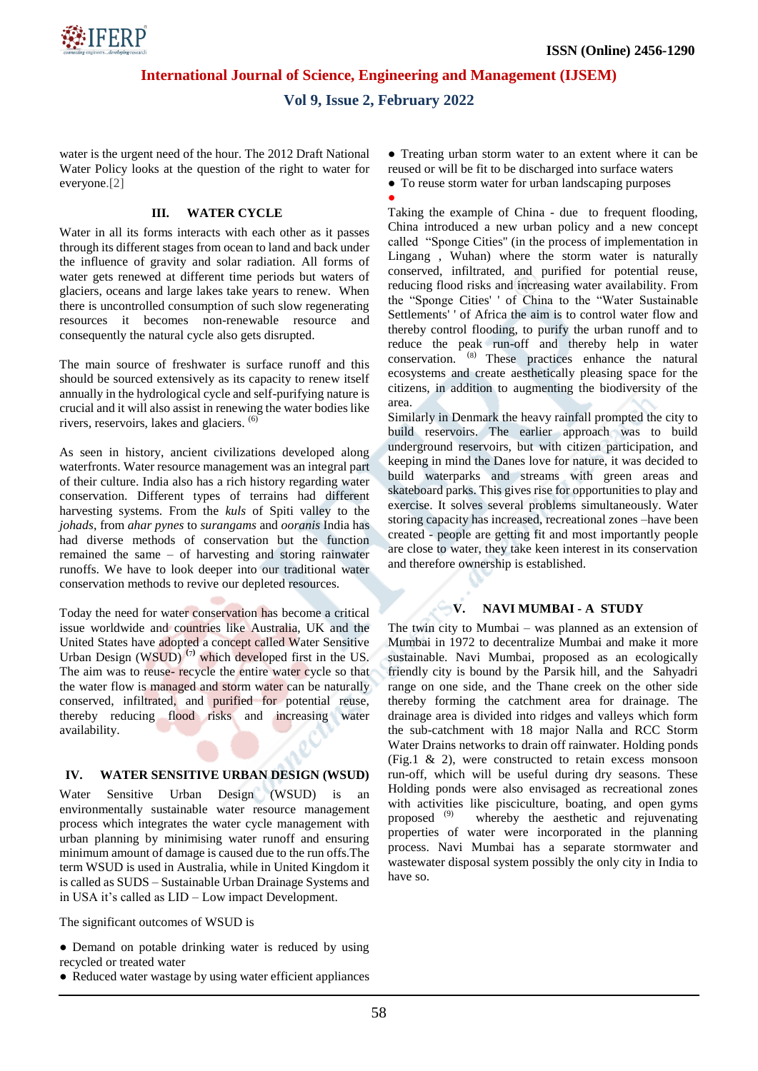**International Journal of Science, Engineering and Management (IJSEM)**

## **Vol 9, Issue 2, February 2022**

●

water is the urgent need of the hour. The 2012 Draft National Water Policy looks at the question of the right to water for everyone.[2]

#### **III. WATER CYCLE**

Water in all its forms interacts with each other as it passes through its different stages from ocean to land and back under the influence of gravity and solar radiation. All forms of water gets renewed at different time periods but waters of glaciers, oceans and large lakes take years to renew. When there is uncontrolled consumption of such slow regenerating resources it becomes non-renewable resource and consequently the natural cycle also gets disrupted.

The main source of freshwater is surface runoff and this should be sourced extensively as its capacity to renew itself annually in the hydrological cycle and self-purifying nature is crucial and it will also assist in renewing the water bodies like rivers, reservoirs, lakes and glaciers.  $(6)$ 

As seen in history, ancient civilizations developed along waterfronts. Water resource management was an integral part of their culture. India also has a rich history regarding water conservation. Different types of terrains had different harvesting systems. From the *kuls* of Spiti valley to the *johads*, from *ahar pynes* to *surangams* and *ooranis* India has had diverse methods of conservation but the function remained the same – of harvesting and storing rainwater runoffs. We have to look deeper into our traditional water conservation methods to revive our depleted resources.

Today the need for water conservation has become a critical issue worldwide and countries like Australia, UK and the United States have adopted a concept called Water Sensitive Urban Design (WSUD) **(**7**)** which developed first in the US. The aim was to reuse- recycle the entire water cycle so that the water flow is managed and storm water can be naturally conserved, infiltrated, and purified for potential reuse, thereby reducing flood risks and increasing water availability.

## **IV. WATER SENSITIVE URBAN DESIGN (WSUD)**

Water Sensitive Urban Design (WSUD) is an environmentally sustainable water resource management process which integrates the water cycle management with urban planning by minimising water runoff and ensuring minimum amount of damage is caused due to the run offs.The term WSUD is used in Australia, while in United Kingdom it is called as SUDS – Sustainable Urban Drainage Systems and in USA it's called as LID – Low impact Development.

The significant outcomes of WSUD is

• Demand on potable drinking water is reduced by using recycled or treated water

● Reduced water wastage by using water efficient appliances

• Treating urban storm water to an extent where it can be reused or will be fit to be discharged into surface waters

- To reuse storm water for urban landscaping purposes
	-

Taking the example of China - due to frequent flooding, China introduced a new urban policy and a new concept called "Sponge Cities'' (in the process of implementation in Lingang , Wuhan) where the storm water is naturally conserved, infiltrated, and purified for potential reuse, reducing flood risks and increasing water availability. From the "Sponge Cities' ' of China to the "Water Sustainable Settlements' ' of Africa the aim is to control water flow and thereby control flooding, to purify the urban runoff and to reduce the peak run-off and thereby help in water conservation. <sup>(8)</sup> These practices enhance the natural ecosystems and create aesthetically pleasing space for the citizens, in addition to augmenting the biodiversity of the area.

Similarly in Denmark the heavy rainfall prompted the city to build reservoirs. The earlier approach was to build underground reservoirs, but with citizen participation, and keeping in mind the Danes love for nature, it was decided to build waterparks and streams with green areas and skateboard parks. This gives rise for opportunities to play and exercise. It solves several problems simultaneously. Water storing capacity has increased, recreational zones –have been created - people are getting fit and most importantly people are close to water, they take keen interest in its conservation and therefore ownership is established.

#### **V. NAVI MUMBAI - A STUDY**

The twin city to Mumbai – was planned as an extension of Mumbai in 1972 to decentralize Mumbai and make it more sustainable. Navi Mumbai, proposed as an ecologically friendly city is bound by the Parsik hill, and the Sahyadri range on one side, and the Thane creek on the other side thereby forming the catchment area for drainage. The drainage area is divided into ridges and valleys which form the sub-catchment with 18 major Nalla and RCC Storm Water Drains networks to drain off rainwater. Holding ponds (Fig.1 & 2), were constructed to retain excess monsoon run-off, which will be useful during dry seasons. These Holding ponds were also envisaged as recreational zones with activities like pisciculture, boating, and open gyms proposed (9) whereby the aesthetic and rejuvenating properties of water were incorporated in the planning process. Navi Mumbai has a separate stormwater and wastewater disposal system possibly the only city in India to have so.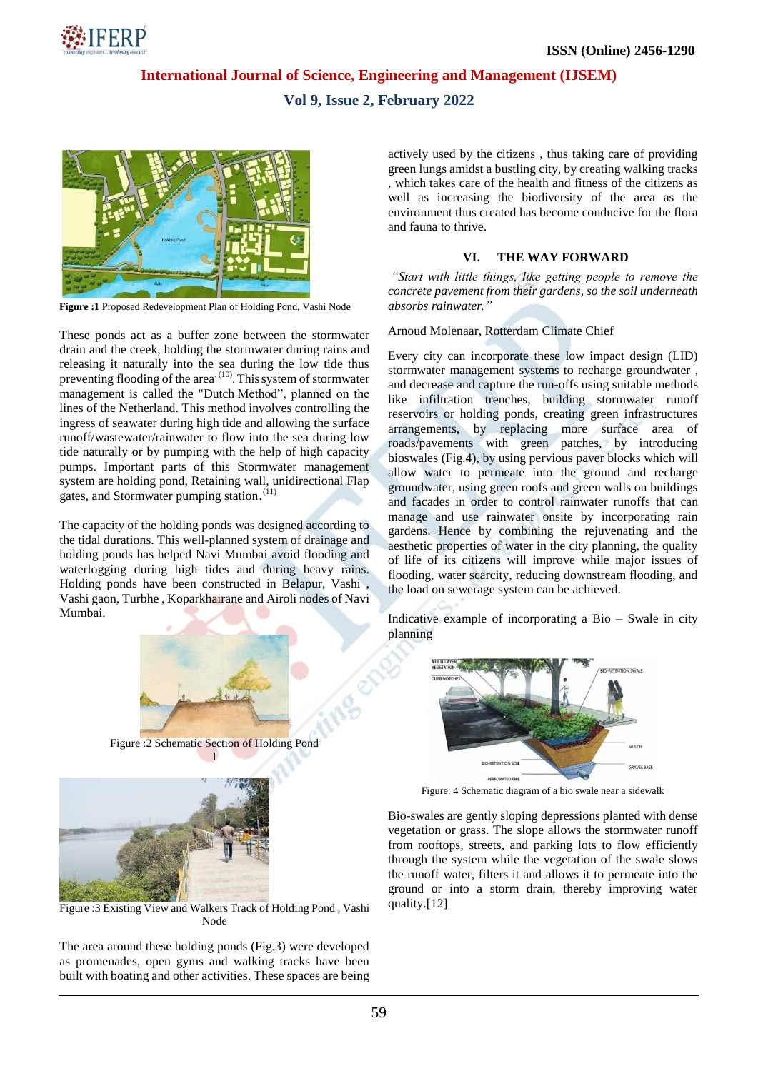

## **International Journal of Science, Engineering and Management (IJSEM)**

## **Vol 9, Issue 2, February 2022**



**Figure :1** Proposed Redevelopment Plan of Holding Pond, Vashi Node

These ponds act as a buffer zone between the stormwater drain and the creek, holding the stormwater during rains and releasing it naturally into the sea during the low tide thus preventing flooding of the area<sup>(10)</sup>. This system of stormwater management is called the "Dutch Method", planned on the lines of the Netherland. This method involves controlling the ingress of seawater during high tide and allowing the surface runoff/wastewater/rainwater to flow into the sea during low tide naturally or by pumping with the help of high capacity pumps. Important parts of this Stormwater management system are holding pond, Retaining wall, unidirectional Flap gates, and Stormwater pumping station.<sup>(11)</sup>

The capacity of the holding ponds was designed according to the tidal durations. This well-planned system of drainage and holding ponds has helped Navi Mumbai avoid flooding and waterlogging during high tides and during heavy rains. Holding ponds have been constructed in Belapur, Vashi , Vashi gaon, Turbhe , Koparkhairane and Airoli nodes of Navi Mumbai.



Figure :2 Schematic Section of Holding Pond [l](http://www.sdmarchitects.com/holding-ponds-in-navi-mumbai.html)



Figure :3 Existing View and Walkers Track of Holding Pond , Vashi Node

The area around these holding ponds (Fig.3) were developed as promenades, open gyms and walking tracks have been built with boating and other activities. These spaces are being actively used by the citizens , thus taking care of providing green lungs amidst a bustling city, by creating walking tracks , which takes care of the health and fitness of the citizens as well as increasing the biodiversity of the area as the environment thus created has become conducive for the flora and fauna to thrive.

#### **VI. THE WAY FORWARD**

*"Start with little things, like getting people to remove the concrete pavement from their gardens, so the soil underneath absorbs rainwater."*

Arnoud Molenaar, Rotterdam Climate Chief

Every city can incorporate these low impact design (LID) stormwater management systems to recharge groundwater , and decrease and capture the run-offs using suitable methods like infiltration trenches, building stormwater runoff reservoirs or holding ponds, creating green infrastructures arrangements, by replacing more surface area of roads/pavements with green patches, by introducing bioswales (Fig.4), by using pervious paver blocks which will allow water to permeate into the ground and recharge groundwater, using green roofs and green walls on buildings and facades in order to control rainwater runoffs that can manage and use rainwater onsite by incorporating rain gardens. Hence by combining the rejuvenating and the aesthetic properties of water in the city planning, the quality of life of its citizens will improve while major issues of flooding, water scarcity, reducing downstream flooding, and the load on sewerage system can be achieved.

Indicative example of incorporating a Bio – Swale in city planning



Figure: 4 Schematic diagram of a bio swale near a sidewalk

Bio-swales are gently sloping depressions planted with dense vegetation or grass. The slope allows the stormwater runoff from rooftops, streets, and parking lots to flow efficiently through the system while the vegetation of the swale slows the runoff water, filters it and allows it to permeate into the ground or into a storm drain, thereby improving water quality.[12]